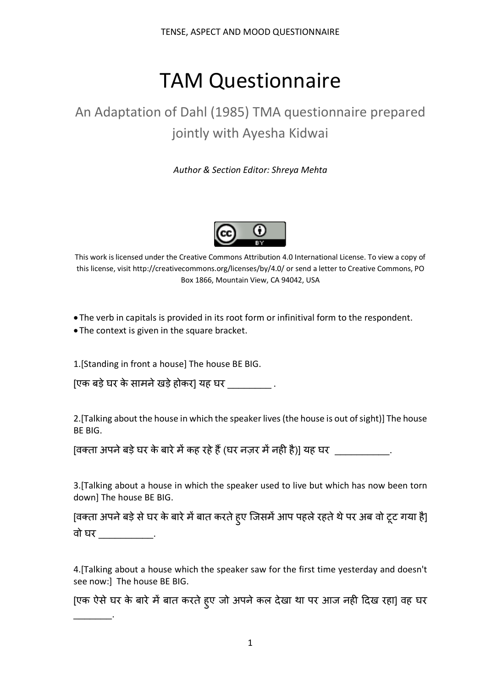# TAM Questionnaire

# An Adaptation of Dahl (1985) TMA questionnaire prepared jointly with Ayesha Kidwai

*Author & Section Editor: Shreya Mehta*



This work is licensed under the Creative Commons Attribution 4.0 International License. To view a copy of this license, visit http://creativecommons.org/licenses/by/4.0/ or send a letter to Creative Commons, PO Box 1866, Mountain View, CA 94042, USA

- The verb in capitals is provided in its root form or infinitival form to the respondent.
- The context is given in the square bracket.

 $\mathcal{L}=\mathcal{L}$ 

1.[Standing in front a house] The house BE BIG.

[एक बड़े घर के सामने खड़े होकर] यह घर  $\hskip10.0cm$  .

2.[Talking about the house in which the speaker lives (the house is out of sight)] The house BE BIG.

[वक्ता अपने बड़े घर के बारे में कह रहे हैं (घर नज़र में नही है)] यह घर \_\_\_\_\_\_\_\_\_\_

3.[Talking about a house in which the speaker used to live but which has now been torn down] The house BE BIG.

[वक्ता अपने बड़े से घर के बारे में बात करते हुए जिसमें आप पहले रहते थे पर अब वो टूट गया है] वो घर \_\_\_\_\_\_\_\_\_\_.

4.[Talking about a house which the speaker saw for the first time yesterday and doesn't see now:] The house BE BIG.

[एक ऐसे घर के बारे में बात करते हुए जो अपने कल देखा था पर आज नही दिख रहा] वह घर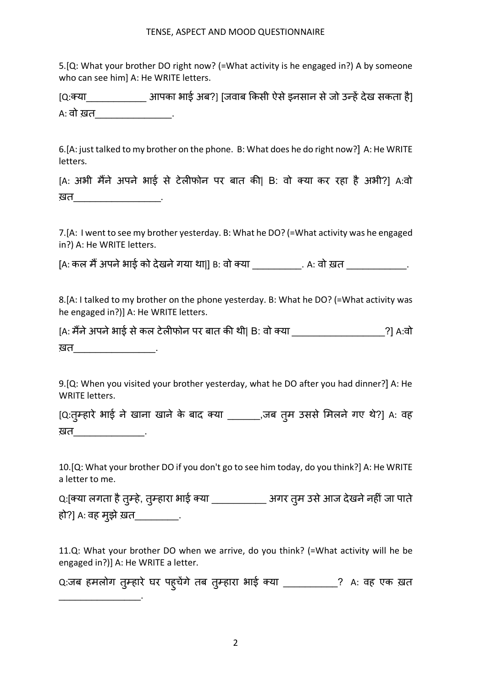5.[Q: What your brother DO right now? (=What activity is he engaged in?) A by someone who can see himl A: He WRITE letters.

[Q:1या\_\_\_\_\_\_\_\_\_\_\_ आपका भाई अब?] [जवाब Hकसी ऐसेइनसान सेजो उLह5देख सकता है] A: वो ख़त

6.[A: just talked to my brother on the phone. B: What does he do right now?] A: He WRITE letters.

[A: अभी मैंने अपने भाई से टेलीफोन पर बात की| B: वो क्या कर रहा है अभी?] A:वो खत**\_\_\_\_\_\_\_\_\_\_\_\_\_** 

7.[A: I went to see my brother yesterday. B: What he DO? (=What activity was he engaged in?) A: He WRITE letters.

[A: कल मैं अपने भाई को देखने गया था|] B: वो क्या \_\_\_\_\_\_\_\_\_\_\_\_\_\_\_\_\_\_\_\_\_\_\_\_\_\_\_\_\_\_\_\_

8.[A: I talked to my brother on the phone yesterday. B: What he DO? (=What activity was he engaged in?)] A: He WRITE letters.

[A: मैंने अपने भाई से कल टेलीफोन पर बात की थी| B: वो क्या \_\_\_\_\_\_\_\_\_\_\_\_\_\_\_\_\_\_\_\_\_\_?] A:वो ख़त <u>\_\_\_\_\_\_</u>

9.[Q: When you visited your brother yesterday, what he DO after you had dinner?] A: He WRITE letters.

[Q:तुम्हारे भाई ने खाना खाने के बाद क्या \_\_\_\_\_\_\_,जब तुम उससे मिलने गए थे?] A: वह ख़त \_\_\_\_\_\_\_\_\_\_\_\_\_\_\_.

10.[Q: What your brother DO if you don't go to see him today, do you think?] A: He WRITE a letter to me.

Q:[क्या लगता है तुम्हे, तुम्हारा भाई क्या \_\_\_\_\_\_\_\_\_\_\_\_ अगर तुम उसे आज देखने नहीं जा पाते हो?] A: वह मुझे ख़त\_\_\_\_\_\_\_\_\_\_.

11.Q: What your brother DO when we arrive, do you think? (=What activity will he be engaged in?)] A: He WRITE a letter.

Q:जब हमलोग तुम्हारे घर पहुचेगे तब तुम्हारा भाई क्या \_\_\_\_\_\_\_\_\_\_\_? A: वह एक ख़त

 $\mathcal{L}_\text{max}$  , where  $\mathcal{L}_\text{max}$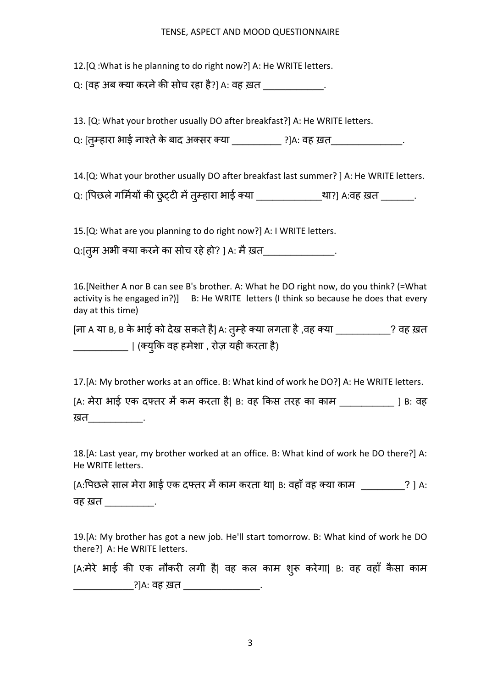12.[Q :What is he planning to do right now?] A: He WRITE letters.

Q: [वह अब क्या करने की सोच रहा है?] A: वह ख़त

13. [Q: What your brother usually DO after breakfast?] A: He WRITE letters.

Q: [तुम्हारा भाई नाश्ते के बाद अक्सर क्या \_\_\_\_\_\_\_\_\_\_ ?]A: वह ख़त\_\_\_\_\_\_\_\_\_\_\_\_\_\_\_\_.

14.[Q: What your brother usually DO after breakfast last summer? ] A: He WRITE letters.

Q: [पिछले गर्मियों की छुट्टी में तुम्हारा भाई क्या \_\_\_\_\_\_\_\_\_\_\_\_\_था?] A:वह ख़त \_\_\_\_\_\_\_.

15.[Q: What are you planning to do right now?] A: I WRITE letters.

Q:[तुम अभी क्या करने का सोच रहे हो? ] A: मै ख़त\_\_\_\_\_\_\_\_\_\_\_\_\_\_\_\_.

16.[Neither A nor B can see B's brother. A: What he DO right now, do you think? (=What activity is he engaged in?)] B: He WRITE letters (I think so because he does that every day at this time)

[ना A या B, B के भाई को देख सकते हैं] A: तुम्हे क्या लगता है ,वह क्या \_\_\_\_\_\_\_\_\_\_\_? वह ख़त \_\_\_\_\_\_\_\_\_\_\_\_ | (क्युकि वह हमेशा , रोज़ यही करता है)

17.[A: My brother works at an office. B: What kind of work he DO?] A: He WRITE letters.

[A: मेरा भाई एक दफ्तर में कम करता है| B: वह किस तरह का काम \_\_\_\_\_\_\_\_\_\_ ] B: वह ख़त**\_\_\_\_\_\_\_\_\_\_**\_.

18.[A: Last year, my brother worked at an office. B: What kind of work he DO there?] A: He WRITE letters.

[A:पिछले साल मेरा भाई एक दफ्तर में काम करता था| B: वहाँ वह क्या काम \_\_\_\_\_\_\_\_\_? ] A: वह ख़त \_\_\_\_\_\_\_\_\_.

19.[A: My brother has got a new job. He'll start tomorrow. B: What kind of work he DO there?] A: He WRITE letters.

[A:मेरे भाई की एक नौकरी लगी है| वह कल काम शुरू करेगा| B: वह वहाँ कैसा काम ?]A: वह ख़त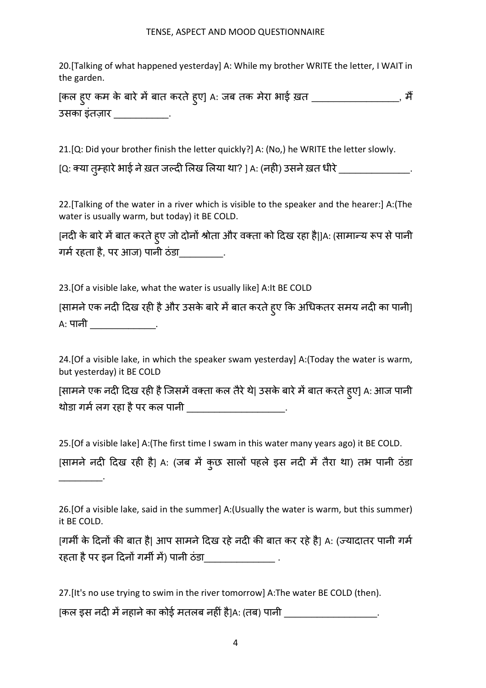20.[Talking of what happened yesterday] A: While my brother WRITE the letter, I WAIT in the garden.

[कल हुए कम के बारे में बात करते हुए] A: जब तक मेरा भाई ख़त \_\_\_\_\_\_\_\_\_\_\_\_\_\_\_\_\_\_\_, मैं उसका इंतज़ार \_\_\_\_\_\_\_\_\_\_.

21.[Q: Did your brother finish the letter quickly?] A: (No,) he WRITE the letter slowly.

[Q: क्या तुम्हारे भाई ने ख़त जल्दी लिख लिया था? ] A: (नही) उसने ख़त धीरे \_\_\_\_\_\_\_\_\_\_\_\_\_\_\_\_\_.

22.[Talking of the water in a river which is visible to the speaker and the hearer:] A:(The water is usually warm, but today) it BE COLD.

[नदी के बारे में बात करते हुए जो दोनों श्रोता और वक्ता को दिख रहा है|]A: (सामान्य रूप से पानी गर्म रहता है, पर आज) पानी ठंडा \_\_\_\_\_\_\_\_.

23.[Of a visible lake, what the water is usually like] A:It BE COLD

 $\overline{\phantom{a}}$  . The set of  $\overline{\phantom{a}}$  .

[सामने एक नदी दिख रही है और उसके बारे में बात करते हुए कि अधिकतर समय नदी का पानी] A: पानी \_\_\_\_\_\_\_\_\_\_\_\_\_\_\_.

24.[Of a visible lake, in which the speaker swam yesterday] A:(Today the water is warm, but yesterday) it BE COLD

[सामने एक नदी दिख रही है जिसमें वक्ता कल तैरे थे| उसके बारे में बात करते हुए] A: आज पानी थोडा गर्म लग रहा है पर कल पानी

25.[Of a visible lake] A:(The first time I swam in this water many years ago) it BE COLD.

[सामने नदी दिख रही है] A: (जब में कुछ सालों पहले इस नदी में तैरा था) तभ पानी ठंडा

[गर्मी के दिनों की बात है| आप सामने दिख रहे नदी की बात कर रहे है। A: (ज्यादातर पानी गर्म रहता है पर इन दिनों गर्मी में) पानी ठंडा

27.[It's no use trying to swim in the river tomorrow] A:The water BE COLD (then). [कल इस नदी में नहाने का कोई मतलब नहीं है]A: (तब) पानी

<sup>26.[</sup>Of a visible lake, said in the summer] A:(Usually the water is warm, but this summer) it BE COLD.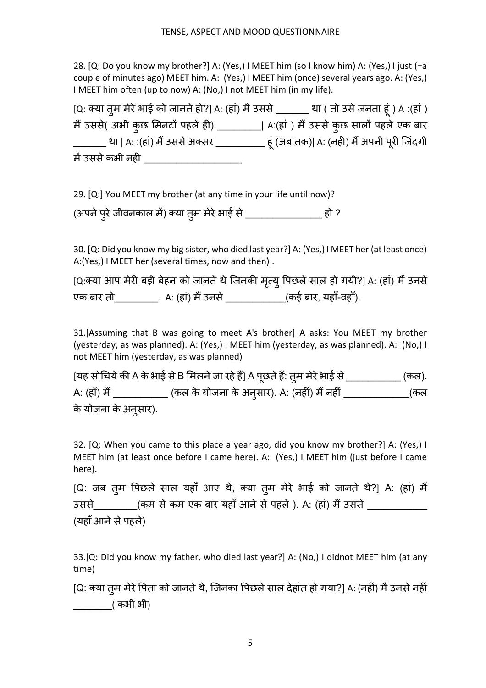28. [Q: Do you know my brother?] A: (Yes,) I MEET him (so I know him) A: (Yes,) I just (=a couple of minutes ago) MEET him. A: (Yes,) I MEET him (once) several years ago. A: (Yes,) I MEET him often (up to now) A: (No,) I not MEET him (in my life).

[Q: 1या तु म मेरेभाई को जानतेहो?] A: (हां) मैउससे\_\_\_\_\_\_ था ( तो उसेजनता हूं ) A :(हां) मैं उससे( अभी कुछ मिनटों पहले ही) \_\_\_\_\_\_\_| A:(हां ) मैं उससे कुछ सालों पहले एक बार \_\_\_\_\_\_\_\_ था | A: :(हां) मैं उससे अक्सर \_\_\_\_\_\_\_\_\_\_\_ हू (अब तक)| A: (नहीं) मैं अपनी पूरी जिंदगी में उससे कभी नही \_\_\_\_\_\_\_\_\_\_\_\_\_\_\_\_\_\_\_.

29. [Q:] You MEET my brother (at any time in your life until now)?

(अपने पुरे जीवनकाल में) क्या तुम मेरे भाई से \_\_\_\_\_\_\_\_\_\_\_\_\_\_\_\_\_\_ हो ?

30. [Q: Did you know my big sister, who died last year?] A: (Yes,) I MEET her (at least once) A:(Yes,) I MEET her (several times, now and then) .

[Q:क्या आप मेरी बड़ी बेहन को जानते थे जिनकी मृत्यू पिछले साल हो गयी?] A: (हां) मैं उनसे एक बार तो\_\_\_\_\_\_\_\_\_\_\_. A: (हां) मैं उनसे \_\_\_\_\_\_\_\_\_\_\_\_\_(कई बार, यहाँ-वहाँ).

31.[Assuming that B was going to meet A's brother] A asks: You MEET my brother (yesterday, as was planned). A: (Yes,) I MEET him (yesterday, as was planned). A: (No,) I not MEET him (yesterday, as was planned)

[यह सोचिये की A के भाई से B मिलने जा रहे हैं] A पूछते हैं: तुम मेरे भाई से \_\_\_\_\_\_\_\_\_\_\_\_ (कल). A: (हाँ) मैं \_\_\_\_\_\_\_\_\_\_\_\_\_ (कल के योजना के अनुसार). A: (नहीं) मैं नहीं \_\_\_\_\_\_\_\_\_\_\_\_\_\_\_(कल के योजना के अनु सार).

32. [Q: When you came to this place a year ago, did you know my brother?] A: (Yes,) I MEET him (at least once before I came here). A: (Yes,) I MEET him (just before I came here).

[Q: जब तुम पिछले साल यहाँ आए थे, क्या तुम मेरे भाई को जानते थे?] A: (हां) मैं उससे (कम से कम एक बार यहाँ आने से पहले ). A: (हां) मैं उससे (यहाँ आने से पहले)

33.[Q: Did you know my father, who died last year?] A: (No,) I didnot MEET him (at any time)

[Q: क्या तुम मेरे पिता को जानते थे, जिनका पिछले साल देहांत हो गया?] A: (नहीं) मैं उनसे नहीं \_\_\_\_\_\_\_( कभी भी)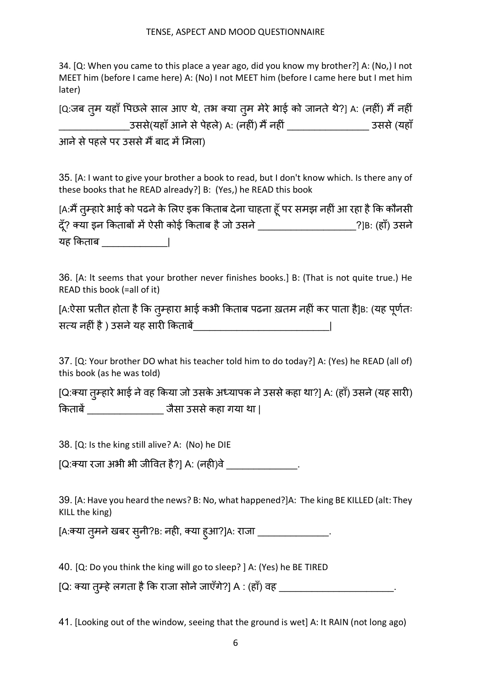34. [Q: When you came to this place a year ago, did you know my brother?] A: (No,) I not MEET him (before I came here) A: (No) I not MEET him (before I came here but I met him later)

| [Q:जब तूम यहाँ पिछले साल आए थे, तभ क्या तूम मेरे भाई को जानते थे?] A: (नहीं) मैं नहीं |            |
|---------------------------------------------------------------------------------------|------------|
| उससे(यहाँ आने से पेहले) A: (नहीं) मैं नहीं                                            | उससे (यहाँ |
| आने से पहले पर उससे मैं बाद में मिला)                                                 |            |

35. [A: I want to give your brother a book to read, but I don't know which. Is there any of these books that he READ already?] B: (Yes,) he READ this book

| [A:मैं तुम्हारे भाई को पढने के लिए इक किताब देना चाहता हूँ पर समझ नहीं आ रहा है कि कौनसी |                 |
|------------------------------------------------------------------------------------------|-----------------|
| दूँ? क्या इन किताबों में ऐसी कोई किताब है जो उसने                                        | ?]B: (हाँ) उसने |
| यह किताब                                                                                 |                 |

36. [A: lt seems that your brother never finishes books.] B: (That is not quite true.) He READ this book (=all of it)

| [A:ऐसा प्रतीत होता है कि तुम्हारा भाई कभी किताब पढना ख़तम नहीं कर पाता है]B: (यह पूर्णतः |  |  |
|------------------------------------------------------------------------------------------|--|--|
| सत्य नहीं है ) उसने यह सारी किताबें_                                                     |  |  |

37. [Q: Your brother DO what his teacher told him to do today?] A: (Yes) he READ (all of) this book (as he was told)

[Q:क्या तुम्हारे भाई ने वह किया जो उसके अध्यापक ने उससे कहा था?] A: (हाँ) उसने (यह सारी) किताबें बाद कर जैसा उससे कहा गया था |

38. [Q: Is the king still alive? A: (No) he DIE

[Q:1या रजा अभी भी जीVवत है?] A: (नह8)वे\_\_\_\_\_\_\_\_\_\_\_\_\_.

39. [A: Have you heard the news? B: No, what happened?]A: The king BE KILLED (alt: They KILL the king)

[A:क्या तुमने खबर सुनी?B: नही, क्या हुआ?]A: राजा \_\_\_\_\_\_\_\_\_\_\_\_\_\_\_\_\_\_.

40. [Q: Do you think the king will go to sleep? ] A: (Yes) he BE TIRED

[Q: क्या तुम्हे लगता है कि राजा सोने जाएँगे?] A : (हाँ) वह \_\_\_\_\_\_\_\_\_\_\_\_\_\_\_\_\_\_\_\_\_\_\_\_\_\_\_.

41. [Looking out of the window, seeing that the ground is wet] A: It RAIN (not long ago)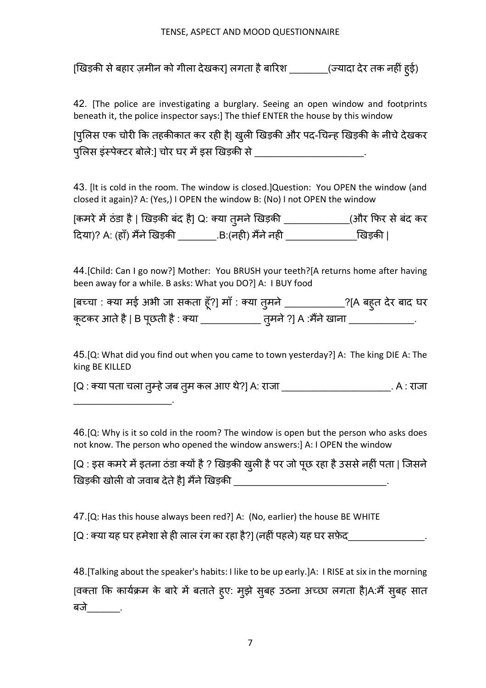[खिड़की से बहार ज़मीन को गीला देखकर] लगता है बारिश \_\_\_\_\_\_\_\_(ज्यादा देर तक नहीं हुई)

42. [The police are investigating a burglary. Seeing an open window and footprints beneath it, the police inspector says:] The thief ENTER the house by this window

[पुलिस एक चोरी कि तहकीकात कर रही है| खुली खिड़की और पद-चिन्ह खिड़की के नीचे देखकर पुलिस इंस्पेक्टर बोले:] चोर घर में इस खिड़की से \_\_\_\_\_\_\_\_\_\_\_\_\_\_\_\_\_\_\_\_\_\_\_\_\_\_\_\_\_\_\_\_\_

43. [lt is cold in the room. The window is closed.]Question: You OPEN the window (and closed it again)? A: (Yes,) I OPEN the window B: (No) I not OPEN the window

| [कमरे में ठंडा है   खिड़की बंद है] Q: क्या त् <b>मने खिड़की</b> |                    | (और फिर से बंद कर |
|-----------------------------------------------------------------|--------------------|-------------------|
| दिया)? A: (हाँ) मैंने खिड़की                                    | .B:(नही) मैंने नही | खिड़की            |

44.[Child: Can I go now?] Mother: You BRUSH your teeth?[A returns home after having been away for a while. B asks: What you DO?] A: I BUY food

| [बच्चा : क्या मई अभी जा सकता हूँ?] माँ : क्या तुमने | _?[A बह्त देर बाद घर    |  |
|-----------------------------------------------------|-------------------------|--|
| कूटकर आते है   B पूछती है : क्या <sub>.</sub>       | ़तूमने ?] A :मैंने खाना |  |

45.[Q: What did you find out when you came to town yesterday?] A: The king DIE A: The king BE KILLED

[Q : क्या पता चला तुम्हे जब तुम कल आए थे?] A: राजा \_\_\_\_\_\_\_\_\_\_\_\_\_\_\_\_\_\_\_\_\_\_\_\_\_\_\_. A : राजा

46.[Q: Why is it so cold in the room? The window is open but the person who asks does not know. The person who opened the window answers:] A: I OPEN the window

[Q : इस कमरे में इतना ठंडा क्यों है ? खिड़की खुली है पर जो पूछ रहा है उससे नहीं पता | जिसने खिड़की खोली वो जवाब देते हैं। मैंने खिड़की

47.[Q: Has this house always been red?] A: (No, earlier) the house BE WHITE

 $\mathcal{L}_\text{max}$  , where  $\mathcal{L}_\text{max}$  and  $\mathcal{L}_\text{max}$ 

[Q : क्या यह घर हमेशा से ही लाल रंग का रहा है?] (नहीं पहले) यह घर सफ़ेद

48.[Talking about the speaker's habits: I like to be up early.]A: I RISE at six in the morning [वक्ता कि कार्यक्रम के बारे में बताते हुए: मुझे सुबह उठना अच्छा लगता है]A:मैं सुबह सात बजे .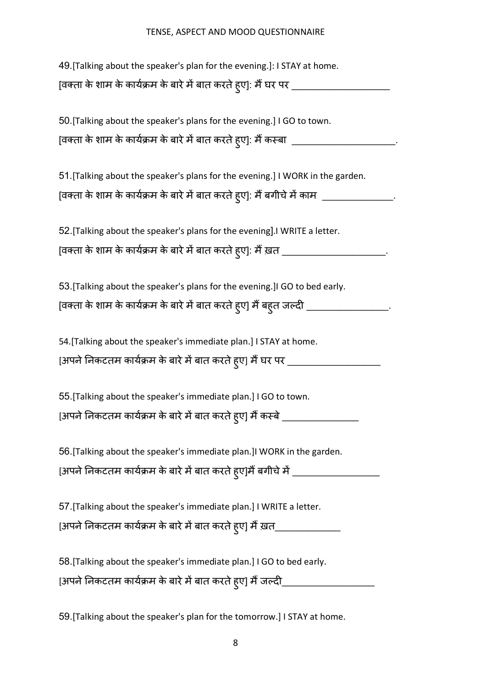| 49. [Talking about the speaker's plan for the evening.]: I STAY at home.                 |
|------------------------------------------------------------------------------------------|
| ्विक्ता के शाम के कार्यक्रम के बारे में बात करते ह्ए]: मैं घर पर __                      |
|                                                                                          |
| 50. [Talking about the speaker's plans for the evening.] I GO to town.                   |
| [वक्ता के शाम के कार्यक्रम के बारे में बात करते ह्ए]: मैं कस्बा _______                  |
|                                                                                          |
| 51. [Talking about the speaker's plans for the evening.] I WORK in the garden.           |
| [वक्ता के शाम के कार्यक्रम के बारे में बात करते ह्ए]: मैं बगीचे में काम _______________. |
| 52. [Talking about the speaker's plans for the evening]. I WRITE a letter.               |
| [वक्ता के शाम के कार्यक्रम के बारे में बात करते हुए]: मैं ख़त ________________________   |
|                                                                                          |
| 53. [Talking about the speaker's plans for the evening.] IGO to bed early.               |
| [वक्ता के शाम के कार्यक्रम के बारे में बात करते हुए] मैं बहुत जल्दी ________________     |
|                                                                                          |
| 54. [Talking about the speaker's immediate plan.] I STAY at home.                        |
| [अपने निकटतम कार्यक्रम के बारे में बात करते ह्ए] मैं घर पर ______                        |
|                                                                                          |
| 55. [Talking about the speaker's immediate plan.] I GO to town.                          |
| [अपने निकटतम कार्यक्रम के बारे में बात करते ह्ए] मैं कस्बे                               |
|                                                                                          |
| 56. [Talking about the speaker's immediate plan.] I WORK in the garden.                  |
| [अपने निकटतम कार्यक्रम के बारे में बात करते हुए]मैं बगीचे में __________________         |
| 57. [Talking about the speaker's immediate plan.] I WRITE a letter.                      |
|                                                                                          |
| [अपने निकटतम कार्यक्रम के बारे में बात करते हुए] मैं ख़त_                                |
| 58. [Talking about the speaker's immediate plan.] I GO to bed early.                     |
| [अपने निकटतम कार्यक्रम के बारे में बात करते हुए] मैं जल्द <u>ी</u>                       |
|                                                                                          |

59.[Talking about the speaker's plan for the tomorrow.] I STAY at home.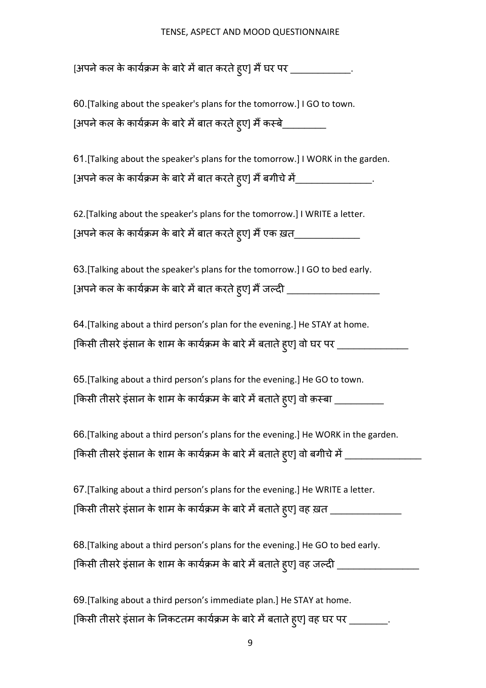[अपने कल के कार्यक्रम के बारे में बात करते हुए] मैं घर पर \_\_\_\_\_\_\_\_\_\_\_\_\_\_.

60.[Talking about the speaker's plans for the tomorrow.] I GO to town. [अपने कल के कार्यक्रम के बारे में बात करते हुए] मैं कस्बे\_\_\_\_\_\_\_\_\_\_

61.[Talking about the speaker's plans for the tomorrow.] I WORK in the garden. [अपने कल के कायेक्रम के बारे में बात करते हुए] मैं बगीचे में\_\_\_\_\_\_\_\_\_\_\_\_\_\_\_\_\_\_\_.

62.[Talking about the speaker's plans for the tomorrow.] I WRITE a letter. [अपने कल के कायेक्रम के बारे में बात करते हुए] मैं एक ख़त\_\_\_\_\_\_\_\_\_\_\_\_\_\_\_\_\_\_\_\_\_\_\_

63.[Talking about the speaker's plans for the tomorrow.] I GO to bed early. [अपने कल के कार्यक्रम के बारे में बात करते हुए] मैं जल्दी \_\_\_\_\_\_\_\_\_\_\_\_\_\_\_\_\_\_\_\_\_\_

64.[Talking about a third person's plan for the evening.] He STAY at home. [किसी तीसरे इंसान के शाम के कार्यक्रम के बारे में बताते हुए] वो घर पर \_\_\_\_\_\_\_\_\_\_\_\_\_\_\_\_

65.[Talking about a third person's plans for the evening.] He GO to town. [किसी तीसरे इंसान के शाम के कार्यक्रम के बारे में बताते हुए] वो क़स्बा \_\_\_\_\_\_\_\_\_\_

66.[Talking about a third person's plans for the evening.] He WORK in the garden. [किसी तीसरे इंसान के शाम के कार्यक्रम के बारे में बताते हुए] वो बगीचे में \_\_\_\_\_\_\_\_\_\_\_\_\_\_\_\_\_\_\_\_\_\_\_\_\_

67.[Talking about a third person's plans for the evening.] He WRITE a letter. [किसी तीसरे इंसान के शाम के कार्यक्रम के बारे में बताते हुए] वह ख़त \_\_\_\_\_\_\_\_\_\_\_\_\_\_\_\_\_

68.[Talking about a third person's plans for the evening.] He GO to bed early. [किसी तीसरे इंसान के शाम के कार्यक्रम के बारे में बताते हुए] वह जल्दी \_\_\_\_\_\_\_\_\_\_\_\_\_\_\_\_\_\_

69.[Talking about a third person's immediate plan.] He STAY at home. [किसी तीसरे इंसान के निकटतम कायेक्रम के बारे में बताते हुए] वह घर पर \_\_\_\_\_\_\_\_\_.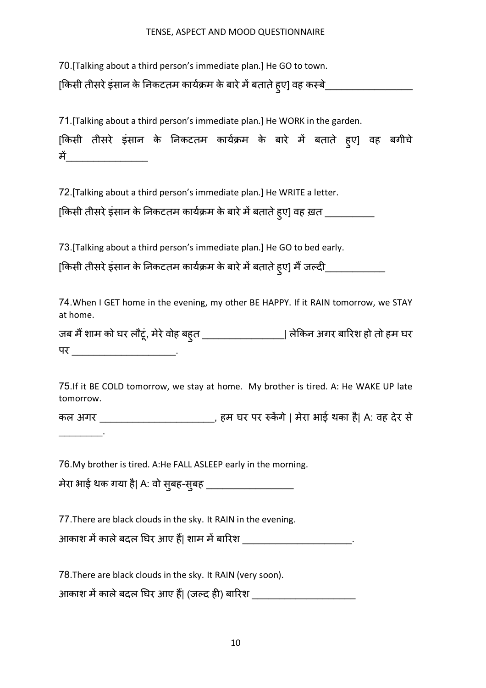70.[Talking about a third person's immediate plan.] He GO to town.

[Hकसी तीसरेइंसान के vनकटतम कायXuम के बारेम5बतातेहु ए] वह कrबे\_\_\_\_\_\_\_\_\_\_\_\_\_\_\_\_

71.[Talking about a third person's immediate plan.] He WORK in the garden.

[किसी तीसरे इंसान के निकटतम कार्यक्रम के बारे में बताते हुए] वह बगीचे म5\_\_\_\_\_\_\_\_\_\_\_\_\_\_\_

72.[Talking about a third person's immediate plan.] He WRITE a letter.

[किसी तीसरे इंसान के निकटतम कार्यक्रम के बारे में बताते हुए] वह ख़त \_\_\_\_\_\_\_\_\_\_\_\_

73.[Talking about a third person's immediate plan.] He GO to bed early.

[किसी तीसरे इंसान के निकटतम कार्यक्रम के बारे में बताते हुए] मैं जल्द<u>ी \_\_\_\_\_\_\_\_\_\_</u>\_\_\_

74.When I GET home in the evening, my other BE HAPPY. If it RAIN tomorrow, we STAY at home.

जब मैं शाम को घर लौटूं, मेरे वोह बहुत \_\_\_\_\_\_\_\_\_\_\_\_\_\_\_\_\_\_| लेकिन अगर बारिश हो तो हम घर पर \_\_\_\_\_\_\_\_\_\_\_\_\_\_\_\_\_\_\_.

75.If it BE COLD tomorrow, we stay at home. My brother is tired. A: He WAKE UP late tomorrow.

कल अगर \_\_\_\_\_\_\_\_\_\_\_\_\_\_\_\_\_\_\_\_\_\_, हम घर पर रुकेंगे | मेरा भाई थका है| A: वह देर से

76.My brother is tired. A:He FALL ASLEEP early in the morning.

मेरा भाई थक गया है| A: वो सु बह-सु बह \_\_\_\_\_\_\_\_\_\_\_\_\_\_\_\_

 $\mathcal{L}=\mathcal{L}^{\mathcal{L}}$ 

77.There are black clouds in the sky. It RAIN in the evening.

आकाश में काले बदल घिर आए हैं| शाम में बारिश

78.There are black clouds in the sky. It RAIN (very soon).

आकाश में काले बदल घिर आए हैं| (जल्द ही) बारिश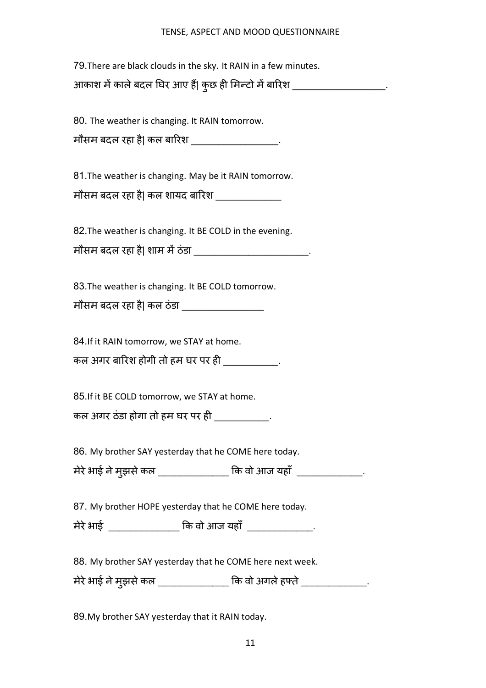79.There are black clouds in the sky. It RAIN in a few minutes. आकाश में काले बदल घिर आए हैं| कुछ ही मिन्टो में बारिश \_\_\_\_\_\_\_\_\_\_\_\_\_\_\_\_\_\_\_\_\_.

80. The weather is changing. It RAIN tomorrow.

मौसम बदल रहा है| कल बारिश \_\_\_\_\_\_\_\_\_\_\_\_\_\_\_\_\_\_\_.

81.The weather is changing. May be it RAIN tomorrow.

मौसम बदल रहा है| कल शायद बारिश

82.The weather is changing. It BE COLD in the evening.

| मौसम बदल रहा है  शाम में ठंडा |  |
|-------------------------------|--|
|                               |  |

83.The weather is changing. It BE COLD tomorrow.

मौसम बदल रहा है| कल ठंडा

84.If it RAIN tomorrow, we STAY at home.

कल अगर बारिश होगी तो हम घर पर ही \_\_\_\_\_\_\_\_\_\_\_\_\_\_\_

85.If it BE COLD tomorrow, we STAY at home.

कल अगर ठंडा होगा तो हम घर पर ही \_\_\_\_\_\_\_\_\_\_\_\_.

86. My brother SAY yesterday that he COME here today.

| मेरे भाई ने मुझसे कल | कि वो आज यहाँ |  |
|----------------------|---------------|--|
|                      |               |  |

87. My brother HOPE yesterday that he COME here today.

मेरेभाई \_\_\_\_\_\_\_\_\_\_\_\_\_ Hक वो आज यहाँ \_\_\_\_\_\_\_\_\_\_\_\_.

88. My brother SAY yesterday that he COME here next week.

मेरे भाई ने मुझसे कल \_\_\_\_\_\_\_\_\_\_\_\_\_\_\_ कि वो अगले हफ्ते \_\_\_\_\_\_\_\_\_\_\_\_\_\_\_.

89.My brother SAY yesterday that it RAIN today.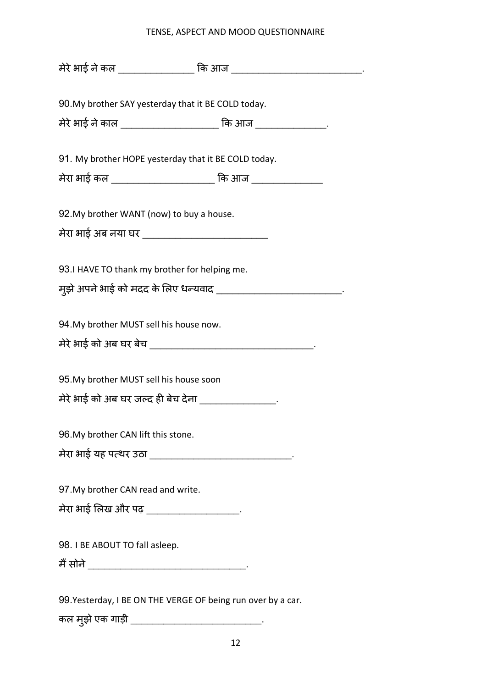| मेरे भाई ने कल _________________ कि आज __________________________________ |
|---------------------------------------------------------------------------|
|                                                                           |
| 90. My brother SAY yesterday that it BE COLD today.                       |
| मेरे भाई ने काल _______________________ कि आज ________________.           |
|                                                                           |
| 91. My brother HOPE yesterday that it BE COLD today.                      |
| मेरा भाई कल ________________________ कि आज _________________              |
| 92. My brother WANT (now) to buy a house.                                 |
| मेरा भाई अब नया घर ____________________________                           |
|                                                                           |
| 93.I HAVE TO thank my brother for helping me.                             |
| मुझे अपने भाई को मदद के लिए धन्यवाद _____________________________         |
|                                                                           |
| 94. My brother MUST sell his house now.                                   |
|                                                                           |
|                                                                           |
| 95. My brother MUST sell his house soon                                   |
| मेरे भाई को अब घर जल्द ही बेच देना ________________.                      |
| 96. My brother CAN lift this stone.                                       |
| मेरा भाई यह पत्थर उठा _________________________________                   |
|                                                                           |
| 97. My brother CAN read and write.                                        |
| मेरा भाई लिख और पढ़ ___________________.                                  |
|                                                                           |
| 98. I BE ABOUT TO fall asleep.                                            |
|                                                                           |
|                                                                           |
| 99. Yesterday, I BE ON THE VERGE OF being run over by a car.              |

12

कल मुझे एक गाड़ी \_\_\_\_\_\_\_\_\_\_\_\_\_\_\_\_\_\_\_\_\_\_\_\_\_\_\_\_\_\_.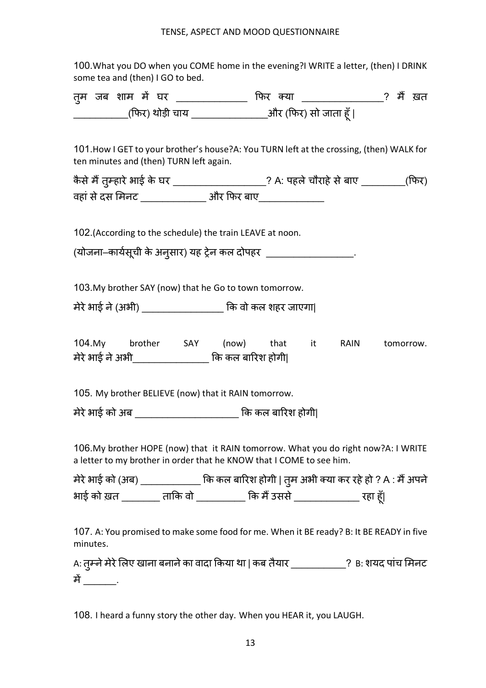100.What you DO when you COME home in the evening?I WRITE a letter, (then) I DRINK some tea and (then) I GO to bed.

| तुम जब शाम में घर |                 | फिर क्या |                       |  | ? मैं खत |
|-------------------|-----------------|----------|-----------------------|--|----------|
|                   | (फिर) थोड़ी चाय |          | _और (फिर) सो जाता हूँ |  |          |

101.How I GET to your brother's house?A: You TURN left at the crossing, (then) WALK for ten minutes and (then) TURN left again.

| कैसे मैं तुम्हारे भाई के घर | ? A: पहले चौराहे से बाए | (फिर) |
|-----------------------------|-------------------------|-------|
| वहां से दस मिनट             | और फिर बाए              |       |

102.(According to the schedule) the train LEAVE at noon.

(योजना–कार्यसूची के अनुसार) यह ट्रेन कल दोपहर \_\_\_\_\_\_\_\_\_\_\_\_\_\_\_\_\_\_\_\_.

103.My brother SAY (now) that he Go to town tomorrow.

मेरेभाई ने(अभी) \_\_\_\_\_\_\_\_\_\_\_\_\_\_\_ Hक वो कल शहर जाएगा|

104.My brother SAY (now) that it RAIN tomorrow. मेरेभाई नेअभी\_\_\_\_\_\_\_\_\_\_\_\_\_\_ Hक कल बाqरश होगी|

105. My brother BELIEVE (now) that it RAIN tomorrow.

मेरेभाई को अब \_\_\_\_\_\_\_\_\_\_\_\_\_\_\_\_\_\_\_ Hक कल बाqरश होगी|

106.My brother HOPE (now) that it RAIN tomorrow. What you do right now?A: I WRITE a letter to my brother in order that he KNOW that I COME to see him.

मेरे भाई को (अब) \_\_\_\_\_\_\_\_\_\_\_\_\_\_ कि कल बारिश होगी | तुम अभी क्या कर रहे हो ? A : मैं अपने भाई को ख़त \_\_\_\_\_\_\_\_ ताकि वो \_\_\_\_\_\_\_\_\_ कि मैं उससे \_\_\_\_\_\_\_\_\_\_\_\_\_\_\_\_\_\_\_\_\_ रहा हूँ|

107. A: You promised to make some food for me. When it BE ready? B: It BE READY in five minutes.

A: तुम्ने मेरे लिए खाना बनाने का वादा किया था | कब तैयार \_\_\_\_\_\_\_\_\_\_\_\_? B: शयद पांच मिनट में \_\_\_\_\_\_\_.

108. I heard a funny story the other day. When you HEAR it, you LAUGH.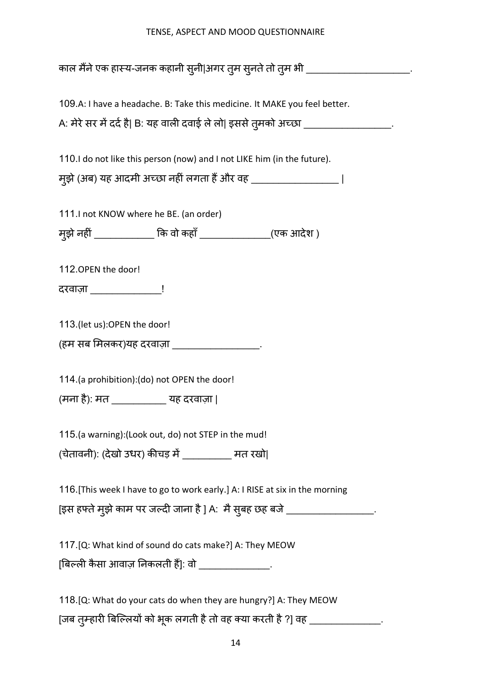| काल मैंने एक हास्य-जनक कहानी स् <b>नी अगर त्</b> म स् <b>नते तो त्</b> म भी ______________________ |
|----------------------------------------------------------------------------------------------------|
|                                                                                                    |
| 109.A: I have a headache. B: Take this medicine. It MAKE you feel better.                          |
| A: मेरे सर में दर्द है  B: यह वाली दवाई ले लो  इससे तुमको अच्छा ____________________.              |
| 110. I do not like this person (now) and I not LIKE him (in the future).                           |
| मुझे (अब) यह आदमी अच्छा नहीं लगता हैं और वह ____________________                                   |
| 111. I not KNOW where he BE. (an order)                                                            |
|                                                                                                    |
| म्झे नहीं ____________ कि वो कहाँ ______________(एक आदेश )                                         |
| 112. OPEN the door!                                                                                |
| <u>दरवाज़ा ________________!</u>                                                                   |
| 113.(let us):OPEN the door!                                                                        |
|                                                                                                    |
| (हम सब मिलकर)यह दरवाज़ा ____________________                                                       |
| 114.(a prohibition):(do) not OPEN the door!                                                        |
| (मना है): मत ________________ यह दरवाज़ा                                                           |
| 115.(a warning):(Look out, do) not STEP in the mud!                                                |
|                                                                                                    |

 $($ चेतावनी): (देखो उधर) कीचड़ में \_\_\_\_\_\_\_\_\_ मत रखो|

116.[This week I have to go to work early.] A: I RISE at six in the morning

[इस हफ्ते मुझे काम पर जल्दी जाना है ] A: मै सुबह छह बजे \_\_\_\_\_\_\_\_\_\_\_\_\_\_\_\_\_\_\_\_.

117.[Q: What kind of sound do cats make?] A: They MEOW

 $[$ बिल्ली कैसा आवाज़ निकलती हैं]: वो \_\_\_\_\_\_\_\_\_\_\_\_\_\_\_.

118.[Q: What do your cats do when they are hungry?] A: They MEOW [जब तुम्हारी बिल्लियों को भूक लगती है तो वह क्या करती है ?] वह \_\_\_\_\_\_\_\_\_\_\_\_\_\_\_\_\_.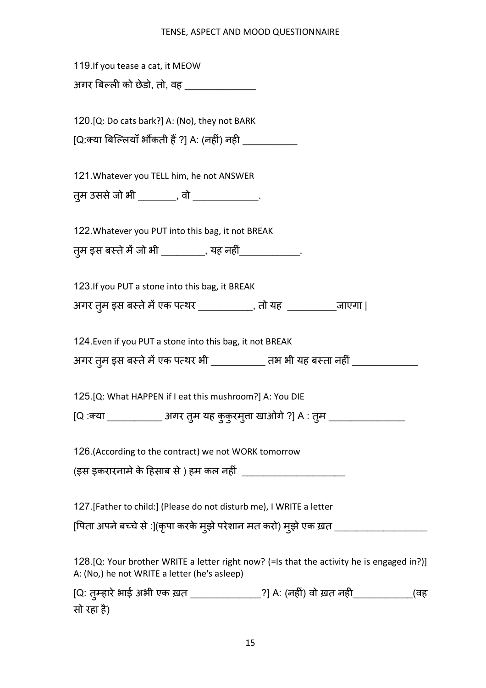| 119. If you tease a cat, it MEOW                                                                                                          |
|-------------------------------------------------------------------------------------------------------------------------------------------|
| अगर बिल्ली को छेडो, तो, वह _______________                                                                                                |
|                                                                                                                                           |
| 120. [Q: Do cats bark?] A: (No), they not BARK                                                                                            |
| [Q:क्या बिल्लियाँ भौंकती हैं ?] A: (नहीं) नही __________________________________                                                          |
|                                                                                                                                           |
| 121. Whatever you TELL him, he not ANSWER                                                                                                 |
| त़्म उससे जो भी ________, वो ______________.                                                                                              |
|                                                                                                                                           |
| 122. Whatever you PUT into this bag, it not BREAK                                                                                         |
| त्म इस बस्ते में जो भी _________, यह नहीं______________.                                                                                  |
|                                                                                                                                           |
| 123. If you PUT a stone into this bag, it BREAK                                                                                           |
| 31गर तुम इस बस्ते में एक पत्थर __________, तो यह _____________जाएगा                                                                       |
| 124. Even if you PUT a stone into this bag, it not BREAK                                                                                  |
|                                                                                                                                           |
| अगर तुम इस बस्ते में एक पत्थर भी ___________ तभ भी यह बस्ता नहीं _______________                                                          |
| 125. [Q: What HAPPEN if I eat this mushroom?] A: You DIE                                                                                  |
| [Q :क्या ______________ अगर तुम यह कुकुरमुत्ता खाओगे ?] A : तुम _________________                                                         |
|                                                                                                                                           |
| 126. (According to the contract) we not WORK tomorrow                                                                                     |
|                                                                                                                                           |
|                                                                                                                                           |
| 127. [Father to child:] (Please do not disturb me), I WRITE a letter                                                                      |
| [पिता अपने बच्चे से :](कृपा करके मुझे परेशान मत करो) मुझे एक ख़त _____________________                                                    |
|                                                                                                                                           |
| 128.[Q: Your brother WRITE a letter right now? (=Is that the activity he is engaged in?)]<br>A: (No,) he not WRITE a letter (he's asleep) |
| [Q: तुम्हारे भाई अभी एक ख़त _______________?] A: (नहीं) वो ख़त नही_____________(वह                                                        |
| सो रहा है)                                                                                                                                |

15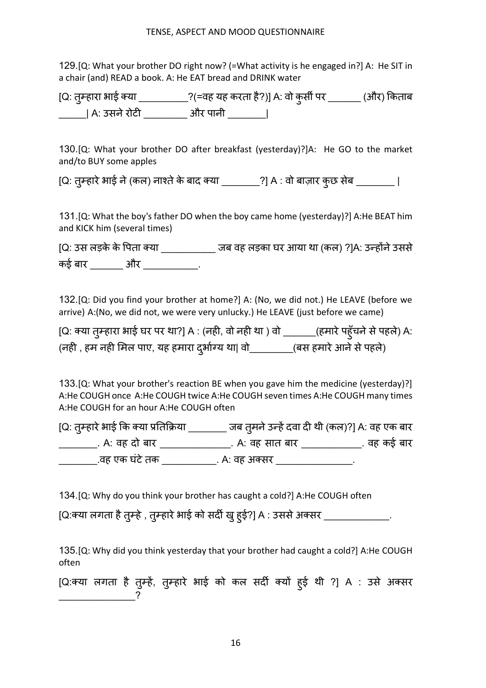129.[Q: What your brother DO right now? (=What activity is he engaged in?] A: He SIT in a chair (and) READ a book. A: He EAT bread and DRINK water

[Q: तुम्हारा भाई क्या \_\_\_\_\_\_\_\_\_\_\_?(=वह यह करता है?)] A: वो कुर्सी पर \_\_\_\_\_\_\_ (और) किताब \_\_\_\_\_\_| A: उसने रोटी \_\_\_\_\_\_\_\_\_\_ और पानी \_\_\_\_\_\_\_\_|

130.[Q: What your brother DO after breakfast (yesterday)?]A: He GO to the market and/to BUY some apples

[Q: तुम्हारे भाई ने (कल) नाश्ते के बाद क्या \_\_\_\_\_\_\_\_?] A : वो बाज़ार कुछ सेब \_\_\_\_\_\_\_\_ |

131.[Q: What the boy's father DO when the boy came home (yesterday)?] A:He BEAT him and KICK him (several times)

[Q: उस लड़के के पिता क्या \_\_\_\_\_\_\_\_\_\_\_\_\_ जब वह लड़का घर आया था (कल) ?]A: उन्होंने उससे कई बार \_\_\_\_\_\_ और \_\_\_\_\_\_\_\_\_\_.

132.[Q: Did you find your brother at home?] A: (No, we did not.) He LEAVE (before we arrive) A:(No, we did not, we were very unlucky.) He LEAVE (just before we came)

[Q: क्या तुम्हारा भाई घर पर था?] A : (नही, वो नही था ) वो \_\_\_\_\_\_\_(हमारे पहुँचने से पहले) A: | (नही , हम नही मिल पाए, यह हमारा दुर्भाग्य था| वो\_\_\_\_\_\_\_\_(बस हमारे आने से पहले)

133.[Q: What your brother's reaction BE when you gave him the medicine (yesterday)?] A:He COUGH once A:He COUGH twice A:He COUGH seven times A:He COUGH many times A:He COUGH for an hour A:He COUGH often

[Q: तुम्हारे भाई कि क्या प्रतिक्रिया \_\_\_\_\_\_\_\_\_ जब तुमने उन्हें दवा दी थी (कल)?] A: वह एक बार \_\_\_\_\_\_\_\_\_\_. A: वह दो बार \_\_\_\_\_\_\_\_\_\_\_\_\_\_\_\_\_. A: वह सात बार \_\_\_\_\_\_\_\_\_\_\_\_\_\_. वह कई बार \_\_\_\_\_\_\_\_\_\_.वह एक घंटे तक \_\_\_\_\_\_\_\_\_\_\_\_\_. A: वह अक्सर \_\_\_\_\_\_\_\_\_\_\_\_\_\_\_\_\_\_\_.

134.[Q: Why do you think your brother has caught a cold?] A:He COUGH often

[Q:क्या लगता है तुम्हे , तुम्हारे भाई को सदी खु हुई?] A : उससे अक्सर \_\_\_\_\_\_\_\_\_\_\_\_\_\_.

135.[Q: Why did you think yesterday that your brother had caught a cold?] A:He COUGH often

[Q:क्या लगता है तुम्हे, तुम्हारे भाई को कल सर्दी क्यों हुई थी ?] A : उसे अक्सर  $\overline{\phantom{a}}$  ?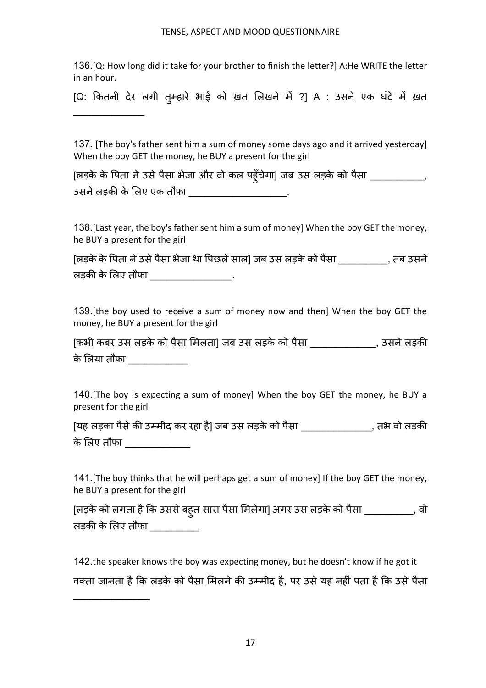136.[Q: How long did it take for your brother to finish the letter?] A:He WRITE the letter in an hour.

[Q: कितनी देर लगी तुम्हारे भाई को ख़त लिखने में ?] A : उसने एक घंटे में ख़त

 $\mathcal{L}_\text{max}$ 

 $\frac{1}{2}$ 

137. [The boy's father sent him a sum of money some days ago and it arrived yesterday] When the boy GET the money, he BUY a present for the girl

| [लड़के के पिता ने उसे पैसा भेजा और वो कल पहुँचेगा] जब उस लड़के को पैसा |  |
|------------------------------------------------------------------------|--|
| उसने लड़की के लिए एक तौफा                                              |  |

138.[Last year, the boy's father sent him a sum of money] When the boy GET the money, he BUY a present for the girl

[लड़के के Vपता नेउसेपैसा भेजा था Vपछलेसाल] जब उस लड़के को पैसा \_\_\_\_\_\_\_\_\_, तब उसने लड़की के लिए तौफा \_\_\_\_\_\_\_\_\_\_\_\_\_\_\_\_\_.

139.[the boy used to receive a sum of money now and then] When the boy GET the money, he BUY a present for the girl

| [कभी कबर उस लड़के को पैसा मिलता] जब उस लड़के को पैसा | . उसने लड़की |
|------------------------------------------------------|--------------|
| के लिया तौफा                                         |              |

140.[The boy is expecting a sum of money] When the boy GET the money, he BUY a present for the girl

| [यह लड़का पैसे की उम्मीद कर रहा है] जब उस लड़के को पैसा | . तभ वो लडकी |
|---------------------------------------------------------|--------------|
| के लिए तौफा                                             |              |

141.[The boy thinks that he will perhaps get a sum of money] If the boy GET the money, he BUY a present for the girl

| [लड़के को लगता है कि उससे बहुत सारा पैसा मिलेगा] अगर उस लड़के को पैसा ] |  |
|-------------------------------------------------------------------------|--|
| लड़की के लिए तौफा                                                       |  |

142.the speaker knows the boy was expecting money, but he doesn't know if he got it वक्ता जानता है कि लड़के को पैसा मिलने की उम्मीद है, पर उसे यह नहीं पता है कि उसे पैसा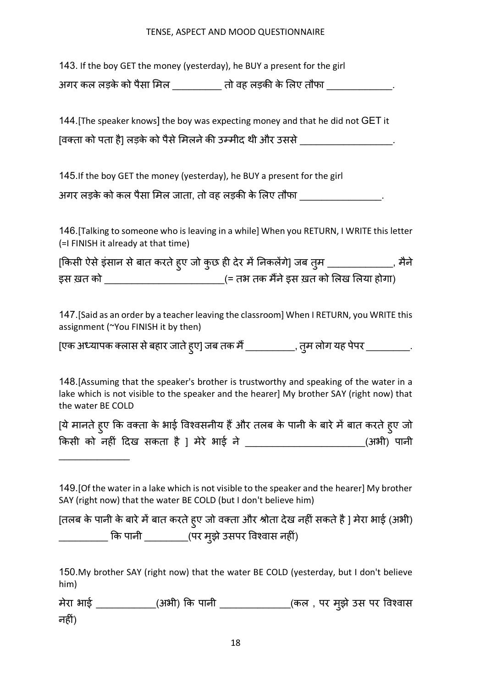143. If the boy GET the money (yesterday), he BUY a present for the girl

अगर कल लड़के को पैसा मिल  $\overline{a}$ तो वह लड़की के लिए तौफा  $\overline{a}$   $\overline{a}$   $\overline{a}$ 

144.[The speaker knows] the boy was expecting money and that he did not GET it [वक्ता को पता है] लड़के को पैसे मिलने की उम्मीद थी और उससे \_\_\_\_\_\_\_\_\_\_\_\_\_\_\_\_\_\_\_\_\_

145.If the boy GET the money (yesterday), he BUY a present for the girl

अगर लड़के को कल पैसा मिल जाता, तो वह लड़की के लिए तौफा \_\_\_\_\_\_\_\_\_\_\_\_\_\_\_\_\_\_\_\_\_\_\_\_\_

146.[Talking to someone who is leaving in a while] When you RETURN, I WRITE this letter (=I FINISH it already at that time)

|           | [किसी ऐसे इंसान से बात करते ह्ए जो कुछ ही देर में निकलेंगे] जब तुम | मैने |
|-----------|--------------------------------------------------------------------|------|
| इस ख़त को | ु(= तभ तक मैंने इस ख़त को लिख लिया होगा)                           |      |

147.[Said as an order by a teacher leaving the classroom] When I RETURN, you WRITE this assignment (~You FINISH it by then)

[एक अध्यापक क्लास से बहार जाते हुए] जब तक मैं \_\_\_\_\_\_\_\_\_\_\_, तुम लोग यह पेपर \_\_\_\_\_\_\_\_\_\_\_.

148.[Assuming that the speaker's brother is trustworthy and speaking of the water in a lake which is not visible to the speaker and the hearer] My brother SAY (right now) that the water BE COLD

| [ये मानते हुए कि वक्ता के भाई विश्वसनीय हैं और तलब के पानी के बारे में बात करते हुए जो |            |
|----------------------------------------------------------------------------------------|------------|
| किसी को नहीं दिख सकता है ] मेरे भाई ने                                                 | (अभी) पानी |

 $\frac{1}{2}$ 

| 149. [Of the water in a lake which is not visible to the speaker and the hearer] My brother |
|---------------------------------------------------------------------------------------------|
| SAY (right now) that the water BE COLD (but I don't believe him)                            |

[तलब के पानी के बारे में बात करते हुए जो वक्ता और श्रोता देख नहीं सकते है ] मेरा भाई (अभी) \_\_\_\_\_\_\_\_\_\_\_ कि पानी \_\_\_\_\_\_\_\_\_\_(पर मुझे उसपर विश्वास नहीं)

150.My brother SAY (right now) that the water BE COLD (yesterday, but I don't believe him)

मेरा भाई \_\_\_\_\_\_\_\_\_\_\_\_(अभी) कि पानी \_\_\_\_\_\_\_\_\_\_\_\_\_(कल , पर मुझे उस पर विश्वास नहीं)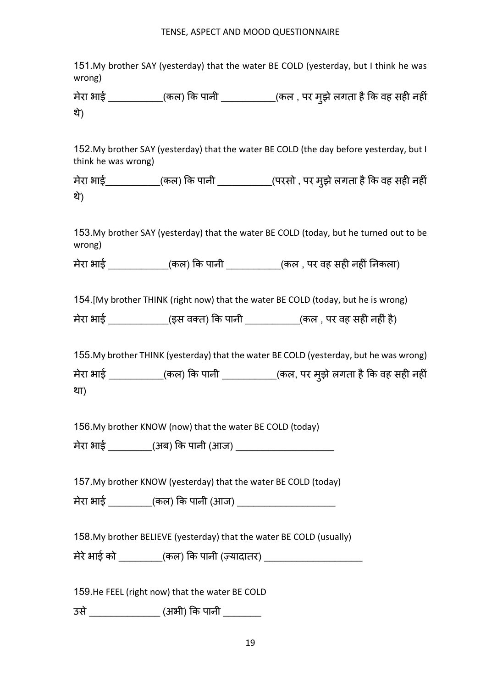151.My brother SAY (yesterday) that the water BE COLD (yesterday, but I think he was wrong)

मेरा भाई \_\_\_\_\_\_\_\_\_\_\_(कल) कि पानी \_\_\_\_\_\_\_\_\_\_\_(कल , पर मुझे लगता है कि वह सही नहीं थे)

152.My brother SAY (yesterday) that the water BE COLD (the day before yesterday, but I think he was wrong)

मेरा भाई\_\_\_\_\_\_\_\_\_\_\_(कल) कि पानी \_\_\_\_\_\_\_\_\_\_\_\_(परसो , पर मुझे लगता है कि वह सही नहीं थे)

153.My brother SAY (yesterday) that the water BE COLD (today, but he turned out to be wrong)

मेरा भाई \_\_\_\_\_\_\_\_\_\_\_\_\_(कल) कि पानी \_\_\_\_\_\_\_\_\_\_\_\_\_\_(कल , पर वह सही नहीं निकला)

154.[My brother THINK (right now) that the water BE COLD (today, but he is wrong)

मेरा भाई \_\_\_\_\_\_\_\_\_\_\_\_\_(इस वक्त) कि पानी \_\_\_\_\_\_\_\_\_\_\_(कल , पर वह सही नहीं है)

155.My brother THINK (yesterday) that the water BE COLD (yesterday, but he was wrong)

मेरा भाई \_\_\_\_\_\_\_\_\_\_\_(कल) कि पानी \_\_\_\_\_\_\_\_\_\_\_(कल, पर मुझे लगता है कि वह सही नहीं

था)

156.My brother KNOW (now) that the water BE COLD (today)

मेरा भाई \_\_\_\_\_\_\_\_(अब) Hक पानी (आज) \_\_\_\_\_\_\_\_\_\_\_\_\_\_\_\_\_\_

157.My brother KNOW (yesterday) that the water BE COLD (today)

मेरा भाई  $\qquad \qquad$  (कल) कि पानी (आज)  $\qquad \qquad$ 

158.My brother BELIEVE (yesterday) that the water BE COLD (usually)

मेरे भाई को  $($ कल) कि पानी (ज़्यादातर)  $\qquad \qquad$ 

159.He FEEL (right now) that the water BE COLD

उसे\_\_\_\_\_\_\_\_\_\_\_\_\_ (अभी) Hक पानी \_\_\_\_\_\_\_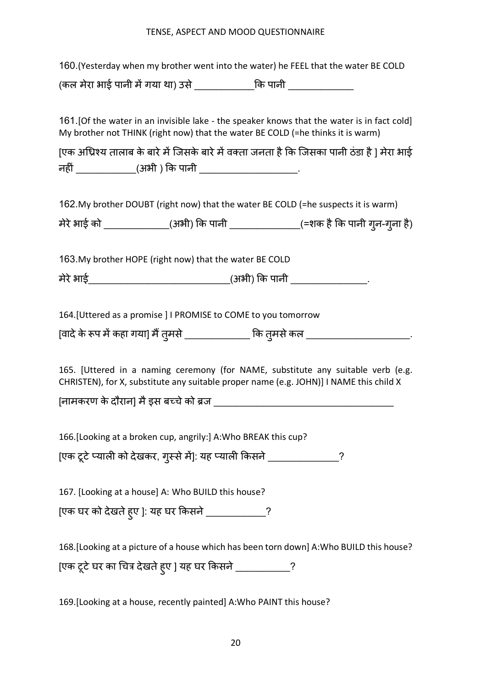|                                                                                 | 160. (Yesterday when my brother went into the water) he FEEL that the water BE COLD                                                                                        |
|---------------------------------------------------------------------------------|----------------------------------------------------------------------------------------------------------------------------------------------------------------------------|
| (कल मेरा भाई पानी में गया था) उसे _______________कि पानी _________________      |                                                                                                                                                                            |
|                                                                                 |                                                                                                                                                                            |
| My brother not THINK (right now) that the water BE COLD (=he thinks it is warm) | 161. [Of the water in an invisible lake - the speaker knows that the water is in fact cold]                                                                                |
| नहीं _____________(अभी ) कि पानी ________________________.                      | [एक अधिश्य तालाब के बारे में जिसके बारे में वक्ता जनता है कि जिसका पानी ठंडा है ] मेरा भाई                                                                                 |
|                                                                                 | 162. My brother DOUBT (right now) that the water BE COLD (=he suspects it is warm)                                                                                         |
|                                                                                 | मेरे भाई को ______________(अभी) कि पानी ________________(=शक है कि पानी गुन-गुना है)                                                                                       |
|                                                                                 |                                                                                                                                                                            |
| 163. My brother HOPE (right now) that the water BE COLD                         |                                                                                                                                                                            |
| मेरे भाई________________________________(अभी) कि पानी _________________.        |                                                                                                                                                                            |
| 164. [Uttered as a promise] I PROMISE to COME to you tomorrow                   |                                                                                                                                                                            |
|                                                                                 | [वादे के रूप में कहा गया] मैं तुमसे ______________ कि तुमसे कल ________________________                                                                                    |
| [नामकरण के दौरान] मै इस बच्चे को ब्रज ________                                  | 165. [Uttered in a naming ceremony (for NAME, substitute any suitable verb (e.g.<br>CHRISTEN), for X, substitute any suitable proper name (e.g. JOHN)] I NAME this child X |
| 166. [Looking at a broken cup, angrily:] A: Who BREAK this cup?                 |                                                                                                                                                                            |
| [एक टूटे प्याली को देखकर, गुस्से में]: यह प्याली किसने ______________?          |                                                                                                                                                                            |
| 167. [Looking at a house] A: Who BUILD this house?                              |                                                                                                                                                                            |
| [एक घर को देखते ह्ए ]: यह घर किसने ____________?                                |                                                                                                                                                                            |
|                                                                                 | 168. [Looking at a picture of a house which has been torn down] A: Who BUILD this house?                                                                                   |
| [एक टूटे घर का चित्र देखते हुए ] यह घर किसने ___________?                       |                                                                                                                                                                            |
| 169. [Looking at a house, recently painted] A: Who PAINT this house?            |                                                                                                                                                                            |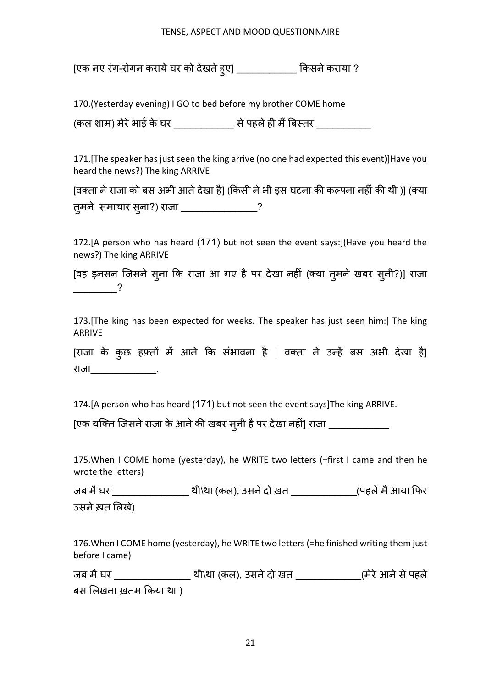[एक नए रंग-रोगन कराये घर को देखते हुए] \_\_\_\_\_\_\_\_\_\_\_\_\_ किसने कराया ?

170.(Yesterday evening) I GO to bed before my brother COME home

(कल शाम) मेरेभाई के घर \_\_\_\_\_\_\_\_\_\_\_ सेपहलेह8 म6{बrतर \_\_\_\_\_\_\_\_\_\_

171.[The speaker has just seen the king arrive (no one had expected this event)]Have you heard the news?) The king ARRIVE

[वक्ता ने राजा को बस अभी आते देखा है] (किसी ने भी इस घटना की कल्पना नहीं की थी )] (क्या तु मने समाचार सु ना?) राजा \_\_\_\_\_\_\_\_\_\_\_\_\_\_?

172.[A person who has heard (171) but not seen the event says:](Have you heard the news?) The king ARRIVE

[वह इनसन जिसने सुना कि राजा आ गए है पर देखा नहीं (क्या तुमने खबर सुनी?)] राजा \_\_\_\_\_\_\_\_?

173.[The king has been expected for weeks. The speaker has just seen him:] The king ARRIVE

[राजा के कुछ हफ़्तों में आने कि संभावना है | वक्ता ने उन्हें बस अभी देखा है] राजा \_\_\_\_\_\_\_\_\_\_\_

174.[A person who has heard (171) but not seen the event says]The king ARRIVE.

[एक यक्ति जिसने राजा के आने की खबर सुनी है पर देखा नहीं] राजा \_\_\_\_\_\_\_\_\_\_\_\_\_\_

175.When I COME home (yesterday), he WRITE two letters (=first I came and then he wrote the letters)

जब मै घर \_\_\_\_\_\_\_\_\_\_\_\_\_\_\_\_\_\_ थी\था (कल), उसने दो ख़त \_\_\_\_\_\_\_\_\_\_\_\_\_\_\_(पहले मै आया फिर उसने ख़त लिखे)

176.When I COME home (yesterday), he WRITE two letters (=he finished writing them just before I came)

जब मैघर \_\_\_\_\_\_\_\_\_\_\_\_\_\_ थी\था (कल), उसनेदो ख़त \_\_\_\_\_\_\_\_\_\_\_\_(मेरेआनेसेपहले बस लिखना ख़तम किया था )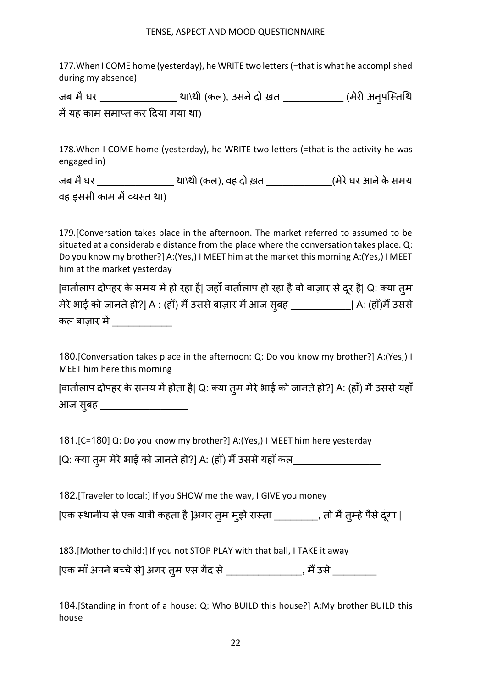177.When I COME home (yesterday), he WRITE two letters (=that is what he accomplished during my absence)

जब मै घर \_\_\_\_\_\_\_\_\_\_\_\_\_\_\_\_\_ था\थी (कल), उसने दो ख़त \_\_\_\_\_\_\_\_\_\_\_\_\_\_ (मेरी अनुपस्तिथि में यह काम समाप्त कर दिया गया था)

178.When I COME home (yesterday), he WRITE two letters (=that is the activity he was engaged in)

जब मैघर \_\_\_\_\_\_\_\_\_\_\_\_\_\_ था\थी (कल), वह दो ख़त \_\_\_\_\_\_\_\_\_\_\_\_(मेरेघर आनेकेसमय वह इससी काम में व्यस्त था)

179.[Conversation takes place in the afternoon. The market referred to assumed to be situated at a considerable distance from the place where the conversation takes place. Q: Do you know my brother?] A:(Yes,) I MEET him at the market this morning A:(Yes,) I MEET him at the market yesterday

[वातोलाप दोपहर के समय में हो रहा हैं| जहाँ वातोलाप हो रहा है वो बाज़ार से दूर है| Q: क्या तुम मेरे भाई को जानते हो?] A : (हाँ) मैं उससे बाज़ार में आज सुबह \_\_\_\_\_\_\_\_\_\_\_\_\_\_\_| A: (हाँ)मैं उससे कल बाज़ार म5\_\_\_\_\_\_\_\_\_\_\_

180.[Conversation takes place in the afternoon: Q: Do you know my brother?] A:(Yes,) I MEET him here this morning

[वातोलाप दोपहर के समय में होता है| Q: क्या तुम मेरे भाई को जानते हो?] A: (हाँ) मैं उससे यहाँ आज सुबह \_\_\_\_\_\_\_\_\_\_\_\_\_\_\_\_\_\_\_\_\_

181.[C=180] Q: Do you know my brother?] A:(Yes,) I MEET him here yesterday

[Q: क्या तुम मेरे भाई को जानते हो?] A: (हाँ) मैं उससे यहाँ कल\_\_\_\_\_\_\_\_\_\_\_\_\_\_\_\_\_\_\_

182.[Traveler to local:] If you SHOW me the way, I GIVE you money

[एक स्थानीय से एक यात्री कहता है ]अगर तुम मुझे रास्ता \_\_\_\_\_\_\_\_\_, तो मैं तुम्हे पैसे दूंगा |

183.[Mother to child:] If you not STOP PLAY with that ball, I TAKE it away

[एक माँ अपने बच्चे से] अगर तुम एस गेंद से \_\_\_\_\_\_\_\_\_\_\_\_\_\_\_, मैं उसे \_\_\_\_\_\_\_\_\_\_\_\_\_

184.[Standing in front of a house: Q: Who BUILD this house?] A:My brother BUILD this house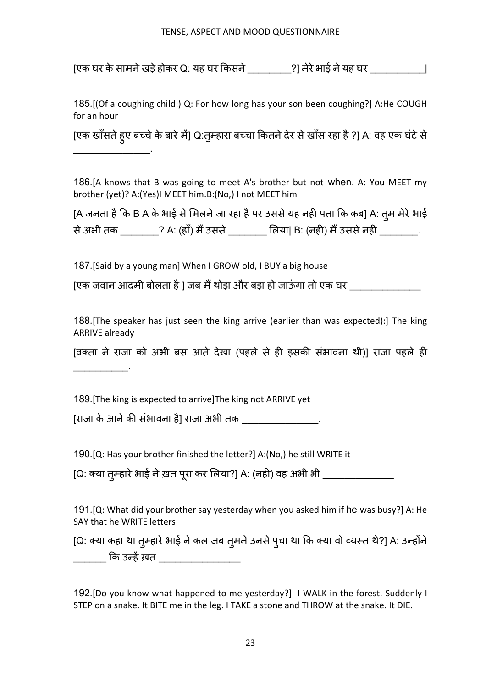[एक घर केसामनेखड़ेहोकर Q: यह घर Hकसने\_\_\_\_\_\_\_\_?] मेरेभाई नेयह घर \_\_\_\_\_\_\_\_\_\_|

185.[(Of a coughing child:) Q: For how long has your son been coughing?] A:He COUGH for an hour

[एक खाँसते हुए बच्चे के बारे में] Q:तुम्हारा बच्चा कितने देर से खाँस रहा है ?] A: वह एक घंटे से  $\mathcal{L}_\text{max}$  and  $\mathcal{L}_\text{max}$ 

186.[A knows that B was going to meet A's brother but not when. A: You MEET my brother (yet)? A:(Yes)I MEET him.B:(No,) I not MEET him

[A जनता है कि B A के भाई से मिलने जा रहा है पर उससे यह नही पता कि कब] A: त्**म मेरे भा**ई से अभी तक \_\_\_\_\_\_\_\_? A: (हाँ) मैं उससे \_\_\_\_\_\_\_\_ लिया| B: (नही) मैं उससे नही \_\_\_\_\_\_\_\_.

187.[Said by a young man] When I GROW old, I BUY a big house

[एक जवान आदमी बोलता है ] जब मैं थोड़ा और बड़ा हो जाऊंगा तो एक घर

188.[The speaker has just seen the king arrive (earlier than was expected):] The king ARRIVE already

[वक्ता ने राजा को अभी बस आते देखा (पहले से ही इसकी संभावना थी)] राजा पहले ही

189.[The king is expected to arrive]The king not ARRIVE yet

 $\mathcal{L}=\mathcal{L}^{\mathcal{L}}$ 

[राजा के आनेकO संभावना है] राजा अभी तक \_\_\_\_\_\_\_\_\_\_\_\_\_\_.

190.[Q: Has your brother finished the letter?] A:(No,) he still WRITE it

[Q: क्या तुम्हारे भाई ने ख़त पूरा कर लिया?] A: (नही) वह अभी भी \_\_\_\_\_\_\_\_\_\_\_\_\_\_\_\_\_

191.[Q: What did your brother say yesterday when you asked him if he was busy?] A: He SAY that he WRITE letters

[Q: क्या कहा था तुम्हारे भाई ने कल जब तुमने उनसे पुचा था कि क्या वो व्यस्त थे?] A: उन्होंने कि उन्हें ख़त

192.[Do you know what happened to me yesterday?] I WALK in the forest. Suddenly I STEP on a snake. It BITE me in the leg. I TAKE a stone and THROW at the snake. It DIE.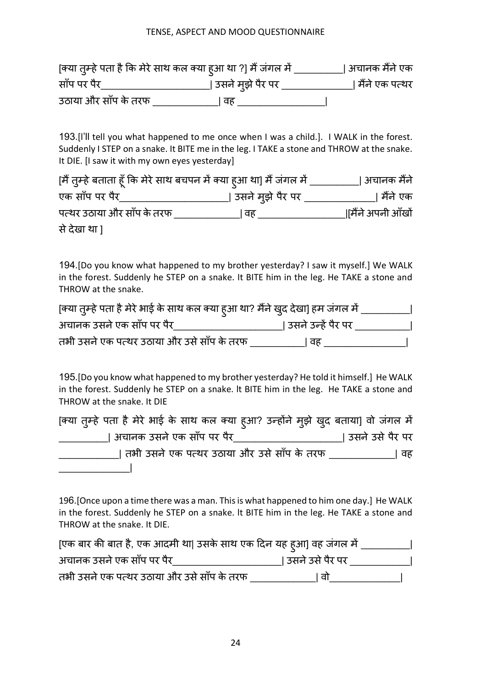| [क्या त़्म्हे पता है कि मेरे साथ कल क्या हुआ था ?] मैं जंगल में |                            | । अचानक मैंने एक |
|-----------------------------------------------------------------|----------------------------|------------------|
| साँप पर पैर                                                     | <u> </u> उसने म्इ़ो पैर पर | । मैंने एक पत्थर |
| उठाया और साँप के तरफ                                            | । वह                       |                  |

193.[l'll tell you what happened to me once when I was a child.]. I WALK in the forest. Suddenly I STEP on a snake. It BITE me in the leg. I TAKE a stone and THROW at the snake. It DIE. [I saw it with my own eyes yesterday]

| [मैं त़्म्हे बताता हूँ कि मेरे साथ बचपन में क्या ह़आ था] मैं जंगल में _ |                     | । अचानक मैंने    |
|-------------------------------------------------------------------------|---------------------|------------------|
| एक साँप पर पैर                                                          | उसने म़्झे पैर पर _ | । मैंने एक       |
| पत्थर उठाया और साँप के तरफ                                              | वह                  | मैंने अपनी आँखों |
| से देखा था ]                                                            |                     |                  |

194.[Do you know what happened to my brother yesterday? I saw it myself.] We WALK in the forest. Suddenly he STEP on a snake. It BITE him in the leg. He TAKE a stone and THROW at the snake.

| [क्या तुम्हे पता है मेरे भाई के साथ कल क्या हुआ था? मैंने खुद देखा] हम जंगल में |                      |  |
|---------------------------------------------------------------------------------|----------------------|--|
| अचानक उसने एक साँप पर पैर                                                       | । उसने उन्हें पैर पर |  |
| तभी उसने एक पत्थर उठाया और उसे साँप के तरफ                                      | । वह                 |  |

195.[Do you know what happened to my brother yesterday? He told it himself.] He WALK in the forest. Suddenly he STEP on a snake. lt BITE him in the leg. He TAKE a stone and THROW at the snake. It DIE

| [क्या तुम्हे पता है मेरे भाई के साथ कल क्या हूआ? उन्होंने मुझे खुद बताया] वो जंगल में |                   |
|---------------------------------------------------------------------------------------|-------------------|
| । अचानक उसने एक साँप पर पैर                                                           | । उसने उसे पैर पर |
| तभी उसने एक पत्थर उठाया और उसे साँप के तरफ                                            | । वह              |
|                                                                                       |                   |

196.[Once upon a time there was a man. This is what happened to him one day.] He WALK in the forest. Suddenly he STEP on a snake. lt BITE him in the leg. He TAKE a stone and THROW at the snake. It DIE.

| [एक बार की बात है, एक आदमी था  उसके साथ एक दिन यह हुआ] वह जंगल में |                   |
|--------------------------------------------------------------------|-------------------|
| अचानक उसने एक साँप पर पैर                                          | । उसने उसे पैर पर |
| तभी उसने एक पत्थर उठाया और उसे साँप के तरफ                         | ਗੋ                |